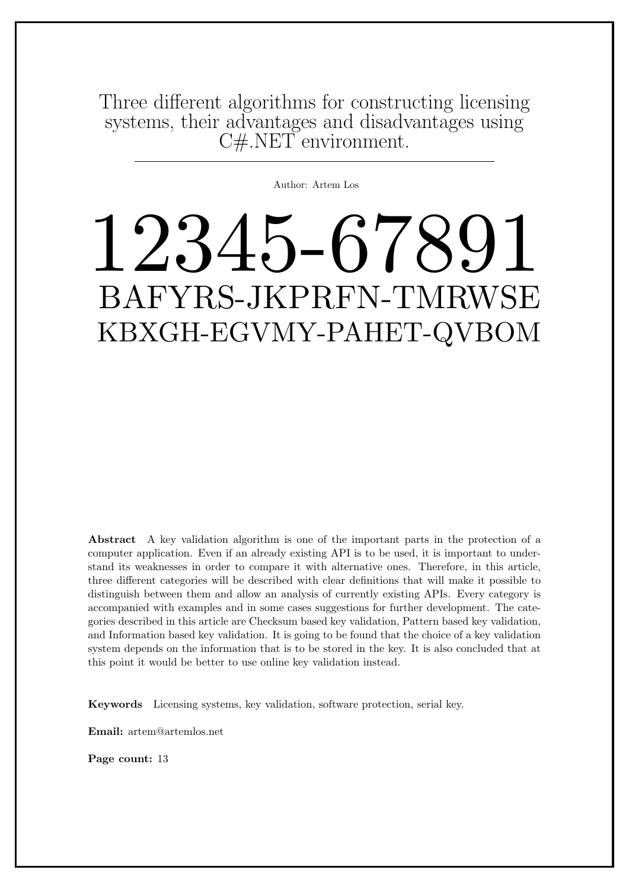Three different algorithms for constructing licensing systems, their advantages and disadvantages using C#.NET environment.

Author: Artem Los

# 12345-67891 BAFYRS-JKPRFN-TMRWSE KBXGH-EGVMY-PAHET-QVBOM

Abstract A key validation algorithm is one of the important parts in the protection of a computer application. Even if an already existing API is to be used, it is important to understand its weaknesses in order to compare it with alternative ones. Therefore, in this article, three different categories will be described with clear definitions that will make it possible to distinguish between them and allow an analysis of currently existing APIs. Every category is accompanied with examples and in some cases suggestions for further development. The categories described in this article are Checksum based key validation, Pattern based key validation, and Information based key validation. It is going to be found that the choice of a key validation system depends on the information that is to be stored in the key. It is also concluded that at this point it would be better to use online key validation instead.

Keywords Licensing systems, key validation, software protection, serial key.

Email: artem@artemlos.net

Page count: 13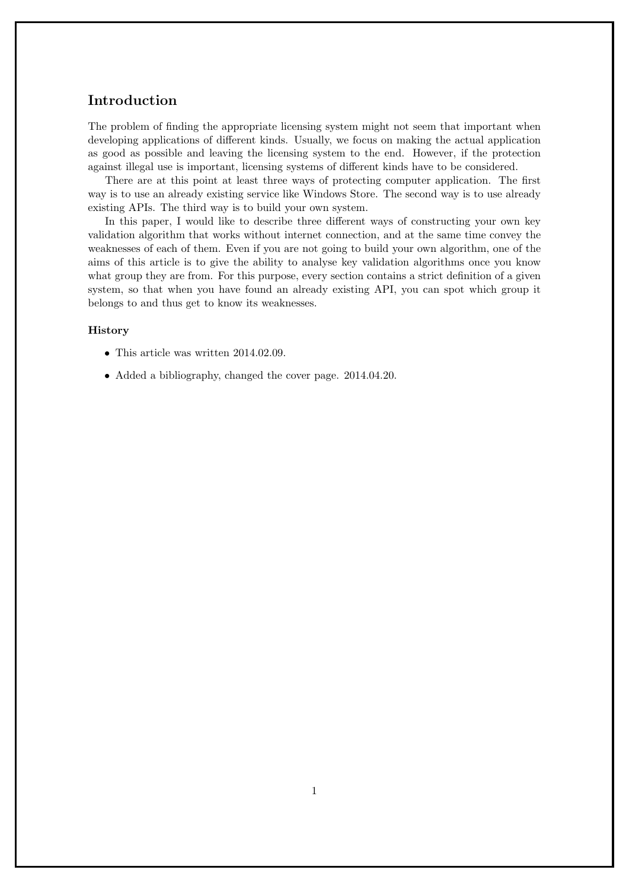# Introduction

The problem of finding the appropriate licensing system might not seem that important when developing applications of different kinds. Usually, we focus on making the actual application as good as possible and leaving the licensing system to the end. However, if the protection against illegal use is important, licensing systems of different kinds have to be considered.

There are at this point at least three ways of protecting computer application. The first way is to use an already existing service like Windows Store. The second way is to use already existing APIs. The third way is to build your own system.

In this paper, I would like to describe three different ways of constructing your own key validation algorithm that works without internet connection, and at the same time convey the weaknesses of each of them. Even if you are not going to build your own algorithm, one of the aims of this article is to give the ability to analyse key validation algorithms once you know what group they are from. For this purpose, every section contains a strict definition of a given system, so that when you have found an already existing API, you can spot which group it belongs to and thus get to know its weaknesses.

#### History

- This article was written 2014.02.09.
- Added a bibliography, changed the cover page. 2014.04.20.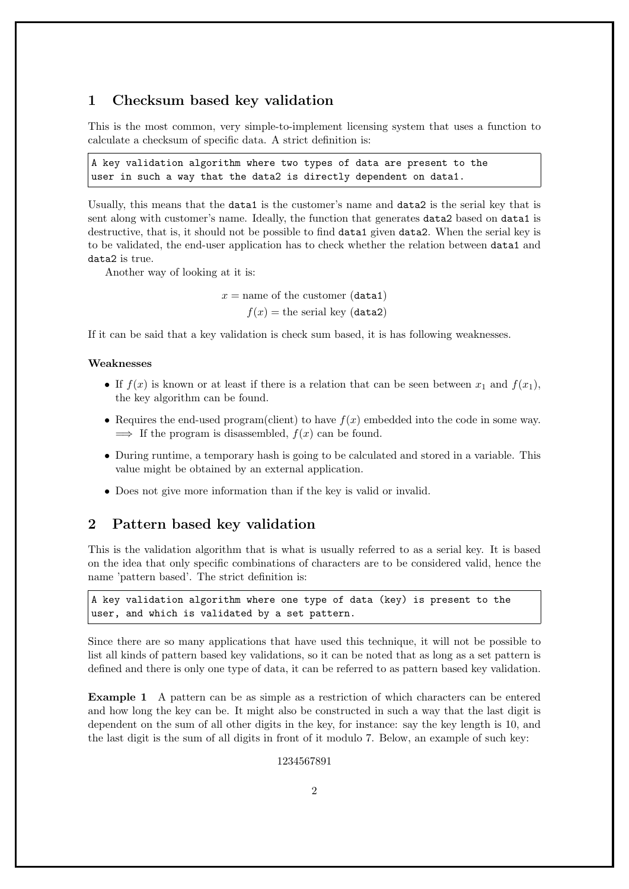## 1 Checksum based key validation

This is the most common, very simple-to-implement licensing system that uses a function to calculate a checksum of specific data. A strict definition is:

A key validation algorithm where two types of data are present to the user in such a way that the data2 is directly dependent on data1.

Usually, this means that the data1 is the customer's name and data2 is the serial key that is sent along with customer's name. Ideally, the function that generates data2 based on data1 is destructive, that is, it should not be possible to find data1 given data2. When the serial key is to be validated, the end-user application has to check whether the relation between data1 and data2 is true.

Another way of looking at it is:

 $x =$  name of the customer (data1)  $f(x)$  = the serial key (data2)

If it can be said that a key validation is check sum based, it is has following weaknesses.

#### Weaknesses

- If  $f(x)$  is known or at least if there is a relation that can be seen between  $x_1$  and  $f(x_1)$ , the key algorithm can be found.
- Requires the end-used program(client) to have  $f(x)$  embedded into the code in some way.  $\implies$  If the program is disassembled,  $f(x)$  can be found.
- During runtime, a temporary hash is going to be calculated and stored in a variable. This value might be obtained by an external application.
- Does not give more information than if the key is valid or invalid.

### 2 Pattern based key validation

This is the validation algorithm that is what is usually referred to as a serial key. It is based on the idea that only specific combinations of characters are to be considered valid, hence the name 'pattern based'. The strict definition is:

```
A key validation algorithm where one type of data (key) is present to the
user, and which is validated by a set pattern.
```
Since there are so many applications that have used this technique, it will not be possible to list all kinds of pattern based key validations, so it can be noted that as long as a set pattern is defined and there is only one type of data, it can be referred to as pattern based key validation.

Example 1 A pattern can be as simple as a restriction of which characters can be entered and how long the key can be. It might also be constructed in such a way that the last digit is dependent on the sum of all other digits in the key, for instance: say the key length is 10, and the last digit is the sum of all digits in front of it modulo 7. Below, an example of such key:

1234567891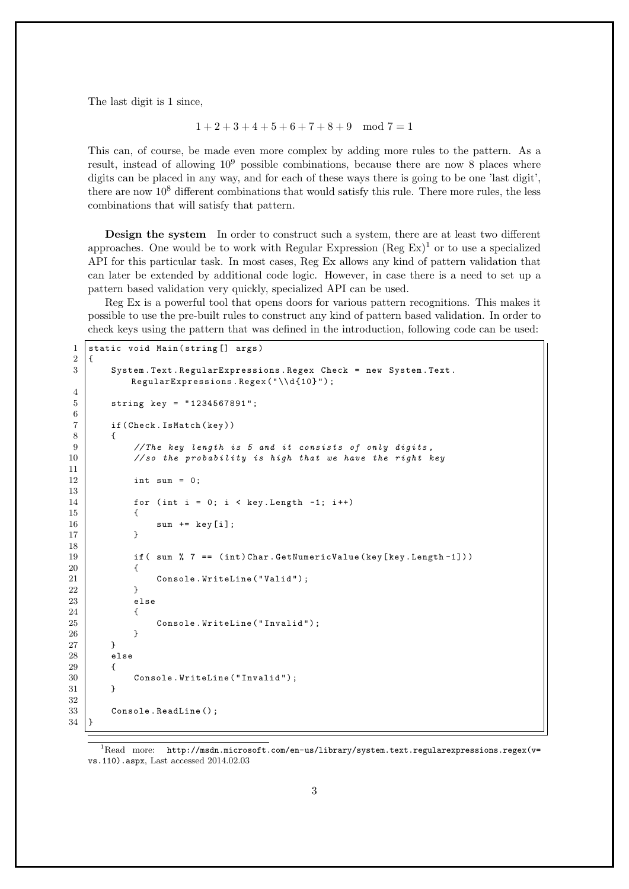The last digit is 1 since,

$$
1 + 2 + 3 + 4 + 5 + 6 + 7 + 8 + 9 \mod 7 = 1
$$

This can, of course, be made even more complex by adding more rules to the pattern. As a result, instead of allowing  $10^9$  possible combinations, because there are now 8 places where digits can be placed in any way, and for each of these ways there is going to be one 'last digit', there are now  $10<sup>8</sup>$  different combinations that would satisfy this rule. There more rules, the less combinations that will satisfy that pattern.

Design the system In order to construct such a system, there are at least two different approaches. One would be to work with Regular Expression  $(\text{Reg Ex})^1$  or to use a specialized API for this particular task. In most cases, Reg Ex allows any kind of pattern validation that can later be extended by additional code logic. However, in case there is a need to set up a pattern based validation very quickly, specialized API can be used.

Reg Ex is a powerful tool that opens doors for various pattern recognitions. This makes it possible to use the pre-built rules to construct any kind of pattern based validation. In order to check keys using the pattern that was defined in the introduction, following code can be used:

```
1 static void Main (string [] args)
2 \mid f3 System . Text . Regular Expressions . Regex Check = new System . Text.
          RegularExpressions.Regex("\\d{10}");
4
5 string key = " 1234567891 " ;
6
7 if (Check. IsMatch (key))
 8 {
9 // The key length is 5 and it consists of only digits,
10 //so the probability is high that we have the right key
11
12 int sum = 0;
13
14 \vert for (int i = 0; i < key. Length -1; i++)
15 {
16 sum += key [i];
17 }
18
19 if ( sum % 7 == (int) Char. GetNumericValue (key [key. Length-1]))
20 {
21 \begin{bmatrix} 21 & 0 \end{bmatrix} Console . WriteLine ("Valid");
22 }
23 else
24 {
25 Console . WriteLine ("Invalid");
26 }
27 }
28 else
29 {
30 Console . WriteLine ("Invalid");
31 }
32
33 Console . ReadLine ();
34 \mid
```
 $1$ Read more: http://msdn.microsoft.com/en-us/library/system.text.regularexpressions.regex(v= vs.110).aspx, Last accessed 2014.02.03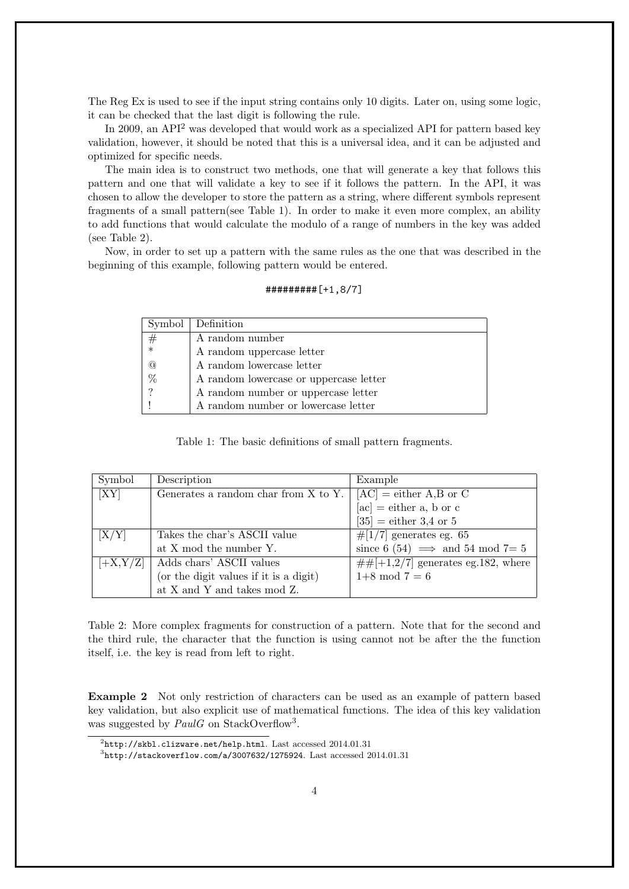The Reg Ex is used to see if the input string contains only 10 digits. Later on, using some logic, it can be checked that the last digit is following the rule.

In 2009, an API<sup>2</sup> was developed that would work as a specialized API for pattern based key validation, however, it should be noted that this is a universal idea, and it can be adjusted and optimized for specific needs.

The main idea is to construct two methods, one that will generate a key that follows this pattern and one that will validate a key to see if it follows the pattern. In the API, it was chosen to allow the developer to store the pattern as a string, where different symbols represent fragments of a small pattern(see Table 1). In order to make it even more complex, an ability to add functions that would calculate the modulo of a range of numbers in the key was added (see Table 2).

Now, in order to set up a pattern with the same rules as the one that was described in the beginning of this example, following pattern would be entered.

| $\#$ ########[+1,8/7] |
|-----------------------|
|-----------------------|

|               | Symbol   Definition                    |
|---------------|----------------------------------------|
| $^{\#}$       | A random number                        |
| $\ast$        | A random uppercase letter              |
| @             | A random lowercase letter              |
| $\%$          | A random lowercase or uppercase letter |
| $\mathcal{P}$ | A random number or uppercase letter    |
|               | A random number or lowercase letter    |

Table 1: The basic definitions of small pattern fragments.

| Symbol     | Description                            | Example                                 |
|------------|----------------------------------------|-----------------------------------------|
| [XY]       | Generates a random char from X to Y.   | $[AC]$ = either A,B or C                |
|            |                                        | $[\text{ac}] = \text{either a, b or c}$ |
|            |                                        | $[35] =$ either 3,4 or 5                |
| [X/Y]      | Takes the char's ASCII value           | $\#$ [1/7] generates eg. 65             |
|            | at X mod the number Y.                 | since 6 (54) $\implies$ and 54 mod 7= 5 |
| $[+X,Y/Z]$ | Adds chars' ASCII values               | $\#H[+1,2/7]$ generates eg.182, where   |
|            | (or the digit values if it is a digit) | $1+8 \mod 7 = 6$                        |
|            | at X and Y and takes mod Z.            |                                         |

Table 2: More complex fragments for construction of a pattern. Note that for the second and the third rule, the character that the function is using cannot not be after the the function itself, i.e. the key is read from left to right.

Example 2 Not only restriction of characters can be used as an example of pattern based key validation, but also explicit use of mathematical functions. The idea of this key validation was suggested by  $PaulG$  on StackOverflow<sup>3</sup>.

 $^{2}$ http://skbl.clizware.net/help.html. Last accessed 2014.01.31

 $^3$ http://stackoverflow.com/a/3007632/1275924. Last accessed  $2014.01.31$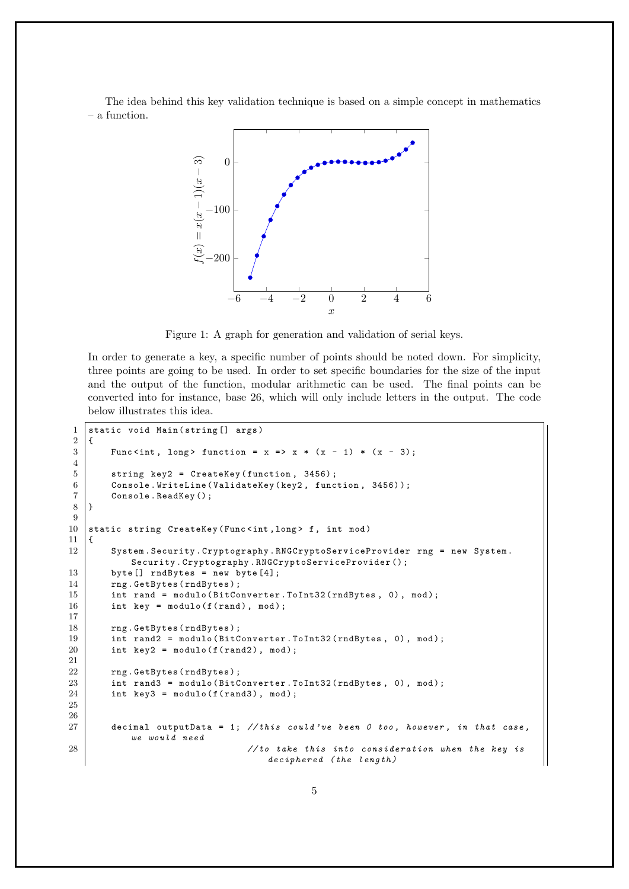The idea behind this key validation technique is based on a simple concept in mathematics – a function.



Figure 1: A graph for generation and validation of serial keys.

In order to generate a key, a specific number of points should be noted down. For simplicity, three points are going to be used. In order to set specific boundaries for the size of the input and the output of the function, modular arithmetic can be used. The final points can be converted into for instance, base 26, which will only include letters in the output. The code below illustrates this idea.

```
1 static void Main (string [] args)
2 \mid \in3 Func <int, long > function = x = > x * (x - 1) * (x - 3);
4
5 string key2 = CreateKey (function, 3456);
6 Console . WriteLine (ValidateKey (key2, function, 3456));
7 Console . ReadKey () ;
8 }
9
10 static string CreateKey (Func<int, long> f, int mod)
11 \mid \xi12 System. Security. Cryptography. RNGCryptoServiceProvider rng = new System.
          Security . Cryptography . RNGCryptoServiceProvider () ;
13 byte [] rndBytes = new byte [4];
14 rng. GetBytes (rndBytes);
15 int rand = modulo (BitConverter. ToInt32 (rndBytes, 0), mod);
16 int key = modulo (f(rand), mod);
17
18 rng. GetBytes (rndBytes);
19 int rand2 = modulo (BitConverter.ToInt32 (rndBytes, 0), mod);
20 int key2 = modulo(f(rand2), mod);21
22 | rng. GetBytes (rndBytes);
23 int rand3 = modulo (BitConverter. ToInt32 (rndBytes, 0), mod);
24 int key3 = modulo (f (rand3), mod);
25
26
27 decimal outputData = 1; //this could've been 0 too, however, in that case,
          we would need
28 // to take this into consideration when the key is
                                  deciphered (the length)
```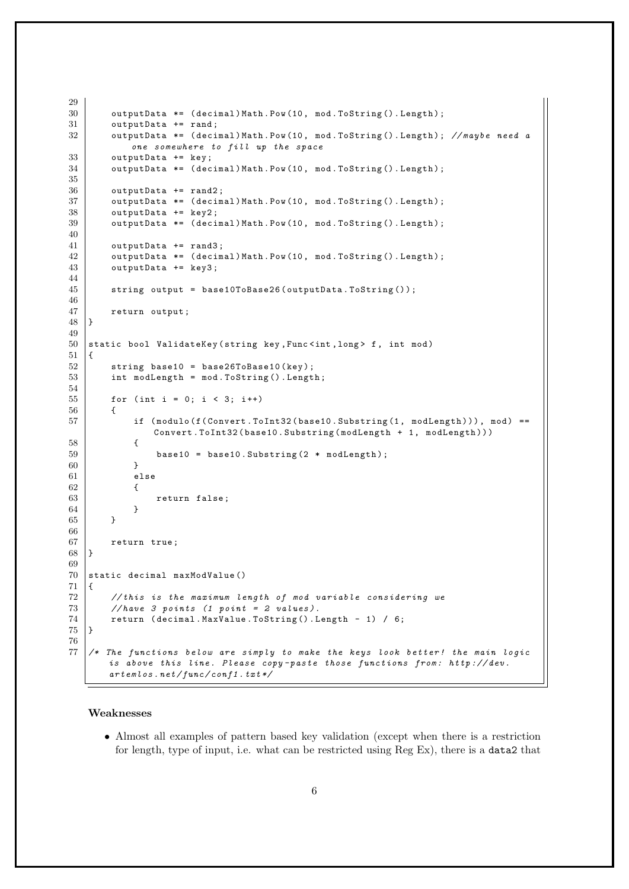```
29
30 outputData *= (decimal)Math.Pow(10, mod.ToString().Length);
31 outputData += rand;
32 outputData *= (decimal)Math.Pow(10, mod.ToString().Length); //maybe need a
            one somewhere to fill up the space
33 outputData += key;
34 outputData *= (decimal) Math. Pow (10, mod. ToString (). Length);
35
\begin{array}{c|cc}\n 36 & \text{outputData} & \text{+=} & \text{rand2;} \\
 37 & \text{outputData} & \text{==} & (\text{decim} & \text{...} & \text{...} & \text{...} \\
 \end{array}outputData *= ( decimal ) Math . Pow (10, mod . ToString () . Length ) ;
38 outputData += key2;
39 outputData *= (decimal) Math. Pow (10, mod. ToString (). Length);
40
41 outputData += rand3;
42 outputData *= (decimal) Math. Pow (10, mod. ToString (). Length);
43 outputData += key3 ;
44
45 string output = base10ToBase26 (outputData.ToString ());
46
47 return output;
48 }
49
50 static bool ValidateKey (string key, Func<int, long> f, int mod)
51 \mid \{52 string base10 = base26ToBase10(key);
53 int modLength = mod. ToString (). Length;
54
55 for (int i = 0; i < 3; i++)
\begin{array}{c|c}\n56 & \text{f}\n\end{array}if (modulo (f(Convert.ToInt32(base10.Substring (1, modLength))), mod) ==
                Convert. ToInt32 (base10. Substring (modLength + 1, modLength)))
58 {
59 base10 = base10. Substring (2 * modLength);
60 }
61 else
62 {
63 return false;
64 }
65 }
66
67 return true;
68 }
69
70 static decimal maxModValue ()
71 \mid \{72 // this is the maximum length of mod variable considering we<br>
73 //have 3 points (1 point = 2 values).
        //have 3 points (1 point = 2 values).
74 return ( decimal . MaxValue . ToString ( ) . Length - 1) / 6;
75 }
76
77 \vert /* The functions below are simply to make the keys look better! the main logic
        is above this line. Please copy-paste those functions from: http://dev.
        artemlos.net/func/conf1.txt*/
```
#### Weaknesses

• Almost all examples of pattern based key validation (except when there is a restriction for length, type of input, i.e. what can be restricted using Reg Ex), there is a data2 that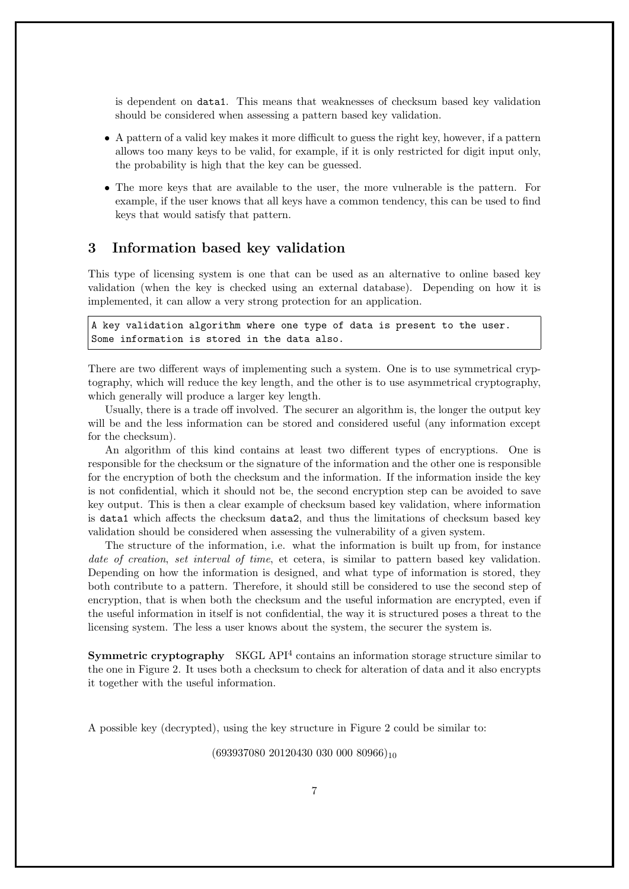is dependent on data1. This means that weaknesses of checksum based key validation should be considered when assessing a pattern based key validation.

- A pattern of a valid key makes it more difficult to guess the right key, however, if a pattern allows too many keys to be valid, for example, if it is only restricted for digit input only, the probability is high that the key can be guessed.
- The more keys that are available to the user, the more vulnerable is the pattern. For example, if the user knows that all keys have a common tendency, this can be used to find keys that would satisfy that pattern.

## 3 Information based key validation

This type of licensing system is one that can be used as an alternative to online based key validation (when the key is checked using an external database). Depending on how it is implemented, it can allow a very strong protection for an application.

A key validation algorithm where one type of data is present to the user. Some information is stored in the data also.

There are two different ways of implementing such a system. One is to use symmetrical cryptography, which will reduce the key length, and the other is to use asymmetrical cryptography, which generally will produce a larger key length.

Usually, there is a trade off involved. The securer an algorithm is, the longer the output key will be and the less information can be stored and considered useful (any information except for the checksum).

An algorithm of this kind contains at least two different types of encryptions. One is responsible for the checksum or the signature of the information and the other one is responsible for the encryption of both the checksum and the information. If the information inside the key is not confidential, which it should not be, the second encryption step can be avoided to save key output. This is then a clear example of checksum based key validation, where information is data1 which affects the checksum data2, and thus the limitations of checksum based key validation should be considered when assessing the vulnerability of a given system.

The structure of the information, i.e. what the information is built up from, for instance date of creation, set interval of time, et cetera, is similar to pattern based key validation. Depending on how the information is designed, and what type of information is stored, they both contribute to a pattern. Therefore, it should still be considered to use the second step of encryption, that is when both the checksum and the useful information are encrypted, even if the useful information in itself is not confidential, the way it is structured poses a threat to the licensing system. The less a user knows about the system, the securer the system is.

**Symmetric cryptography** SKGL API $4$  contains an information storage structure similar to the one in Figure 2. It uses both a checksum to check for alteration of data and it also encrypts it together with the useful information.

A possible key (decrypted), using the key structure in Figure 2 could be similar to:

 $(693937080 20120430 030 000 80966)_{10}$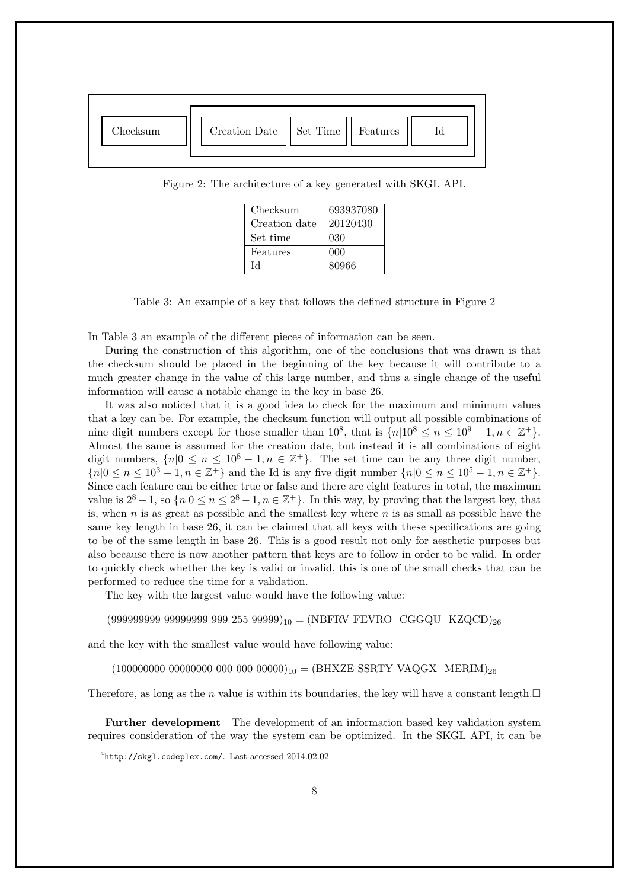

Figure 2: The architecture of a key generated with SKGL API.

| Checksum      | 693937080 |
|---------------|-----------|
| Creation date | 20120430  |
| Set time      | 030       |
| Features      | 000       |
| IЧ            | 80966     |

Table 3: An example of a key that follows the defined structure in Figure 2

In Table 3 an example of the different pieces of information can be seen.

During the construction of this algorithm, one of the conclusions that was drawn is that the checksum should be placed in the beginning of the key because it will contribute to a much greater change in the value of this large number, and thus a single change of the useful information will cause a notable change in the key in base 26.

It was also noticed that it is a good idea to check for the maximum and minimum values that a key can be. For example, the checksum function will output all possible combinations of nine digit numbers except for those smaller than  $10^8$ , that is  $\{n|10^8 \le n \le 10^9 - 1, n \in \mathbb{Z}^+\}$ . Almost the same is assumed for the creation date, but instead it is all combinations of eight digit numbers,  $\{n|0 \le n \le 10^8 - 1, n \in \mathbb{Z}^+\}$ . The set time can be any three digit number,  ${n \geq 10^3 - 1, n \in \mathbb{Z}^+}$  and the Id is any five digit number  ${n \geq 10^5 - 1, n \in \mathbb{Z}^+}.$ Since each feature can be either true or false and there are eight features in total, the maximum value is  $2^8 - 1$ , so  $\{n | 0 \le n \le 2^8 - 1, n \in \mathbb{Z}^+\}$ . In this way, by proving that the largest key, that is, when  $n$  is as great as possible and the smallest key where  $n$  is as small as possible have the same key length in base 26, it can be claimed that all keys with these specifications are going to be of the same length in base 26. This is a good result not only for aesthetic purposes but also because there is now another pattern that keys are to follow in order to be valid. In order to quickly check whether the key is valid or invalid, this is one of the small checks that can be performed to reduce the time for a validation.

The key with the largest value would have the following value:

 $(999999999 99999999 999 255 99999)_{10} = (NBFRV FEVRO CGGQU KZQCD)_{26}$ 

and the key with the smallest value would have following value:

 $(100000000 0000000 000 000 000 0000)_{10} = (BHXZE SSRTY VAQGX MERIM)_{26}$ 

Therefore, as long as the *n* value is within its boundaries, the key will have a constant length.  $\Box$ 

Further development The development of an information based key validation system requires consideration of the way the system can be optimized. In the SKGL API, it can be

 $^4$ http://skgl.codeplex.com/. Last accessed  $2014.02.02$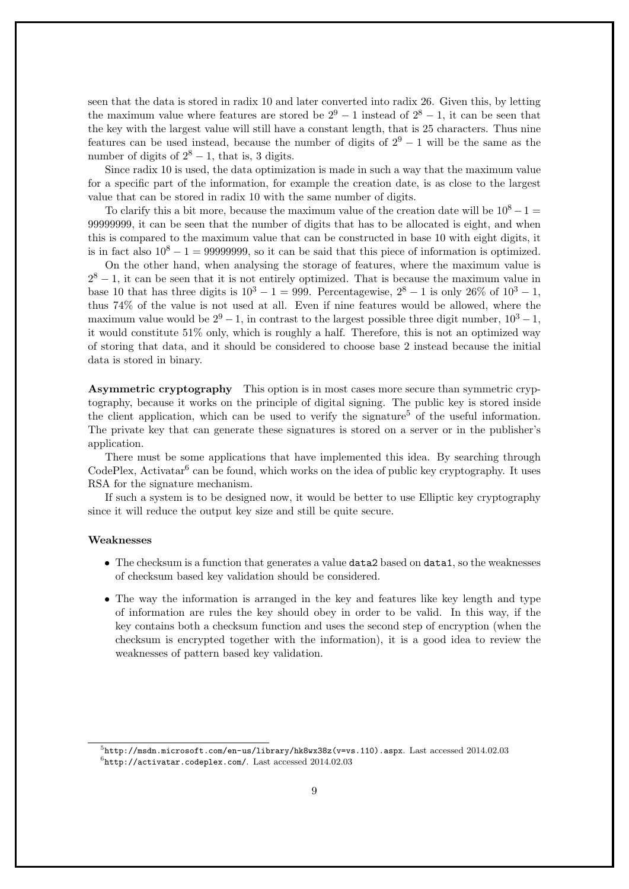seen that the data is stored in radix 10 and later converted into radix 26. Given this, by letting the maximum value where features are stored be  $2^9 - 1$  instead of  $2^8 - 1$ , it can be seen that the key with the largest value will still have a constant length, that is 25 characters. Thus nine features can be used instead, because the number of digits of  $2^9 - 1$  will be the same as the number of digits of  $2^8 - 1$ , that is, 3 digits.

Since radix 10 is used, the data optimization is made in such a way that the maximum value for a specific part of the information, for example the creation date, is as close to the largest value that can be stored in radix 10 with the same number of digits.

To clarify this a bit more, because the maximum value of the creation date will be  $10^8 - 1 =$ 99999999, it can be seen that the number of digits that has to be allocated is eight, and when this is compared to the maximum value that can be constructed in base 10 with eight digits, it is in fact also  $10^8 - 1 = 99999999$ , so it can be said that this piece of information is optimized.

On the other hand, when analysing the storage of features, where the maximum value is  $2<sup>8</sup> - 1$ , it can be seen that it is not entirely optimized. That is because the maximum value in base 10 that has three digits is  $10^3 - 1 = 999$ . Percentagewise,  $2^8 - 1$  is only  $26\%$  of  $10^3 - 1$ , thus 74% of the value is not used at all. Even if nine features would be allowed, where the maximum value would be  $2^9 - 1$ , in contrast to the largest possible three digit number,  $10^3 - 1$ , it would constitute 51% only, which is roughly a half. Therefore, this is not an optimized way of storing that data, and it should be considered to choose base 2 instead because the initial data is stored in binary.

Asymmetric cryptography This option is in most cases more secure than symmetric cryptography, because it works on the principle of digital signing. The public key is stored inside the client application, which can be used to verify the signature<sup>5</sup> of the useful information. The private key that can generate these signatures is stored on a server or in the publisher's application.

There must be some applications that have implemented this idea. By searching through CodePlex, Activatar<sup>6</sup> can be found, which works on the idea of public key cryptography. It uses RSA for the signature mechanism.

If such a system is to be designed now, it would be better to use Elliptic key cryptography since it will reduce the output key size and still be quite secure.

#### Weaknesses

- The checksum is a function that generates a value **data2** based on **data1**, so the weaknesses of checksum based key validation should be considered.
- The way the information is arranged in the key and features like key length and type of information are rules the key should obey in order to be valid. In this way, if the key contains both a checksum function and uses the second step of encryption (when the checksum is encrypted together with the information), it is a good idea to review the weaknesses of pattern based key validation.

 $5$ http://msdn.microsoft.com/en-us/library/hk8wx38z(v=vs.110).aspx. Last accessed  $2014.02.03$  $^6$ http://activatar.codeplex.com/. Last accessed  $2014.02.03$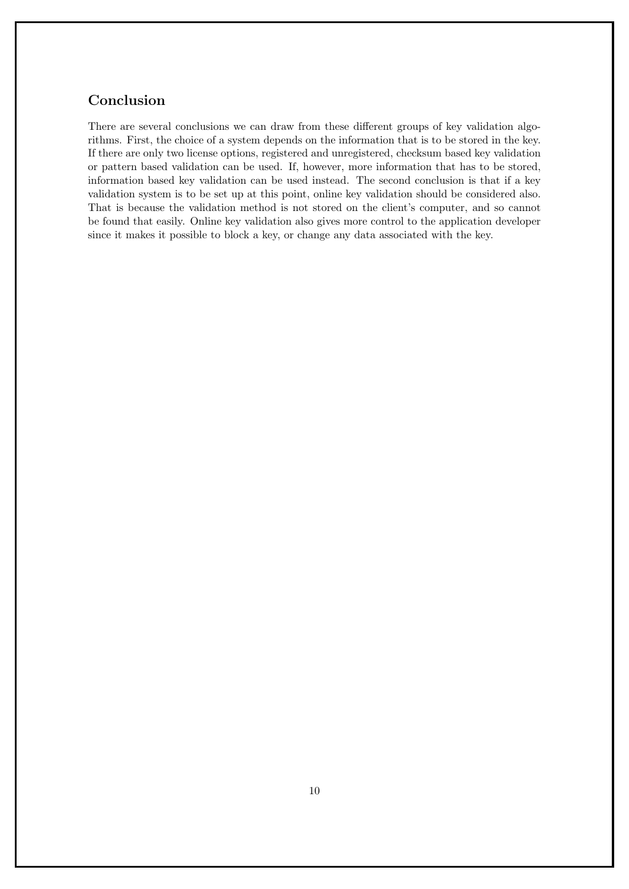# Conclusion

There are several conclusions we can draw from these different groups of key validation algorithms. First, the choice of a system depends on the information that is to be stored in the key. If there are only two license options, registered and unregistered, checksum based key validation or pattern based validation can be used. If, however, more information that has to be stored, information based key validation can be used instead. The second conclusion is that if a key validation system is to be set up at this point, online key validation should be considered also. That is because the validation method is not stored on the client's computer, and so cannot be found that easily. Online key validation also gives more control to the application developer since it makes it possible to block a key, or change any data associated with the key.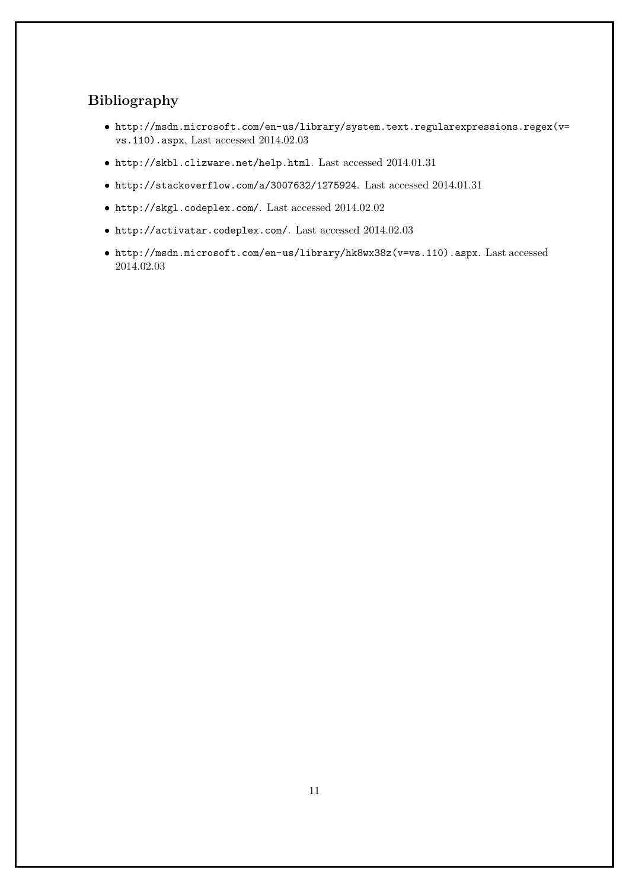# Bibliography

- http://msdn.microsoft.com/en-us/library/system.text.regularexpressions.regex(v= vs.110).aspx, Last accessed 2014.02.03
- $\bullet$ http://skbl.clizware.net/help.html. Last accessed 2014.01.31
- $\bullet$ http://stackoverflow.com/a/3007632/1275924. Last accessed 2014.01.31
- http://skgl.codeplex.com/. Last accessed 2014.02.02
- http://activatar.codeplex.com/. Last accessed 2014.02.03
- http://msdn.microsoft.com/en-us/library/hk8wx38z(v=vs.110).aspx. Last accessed 2014.02.03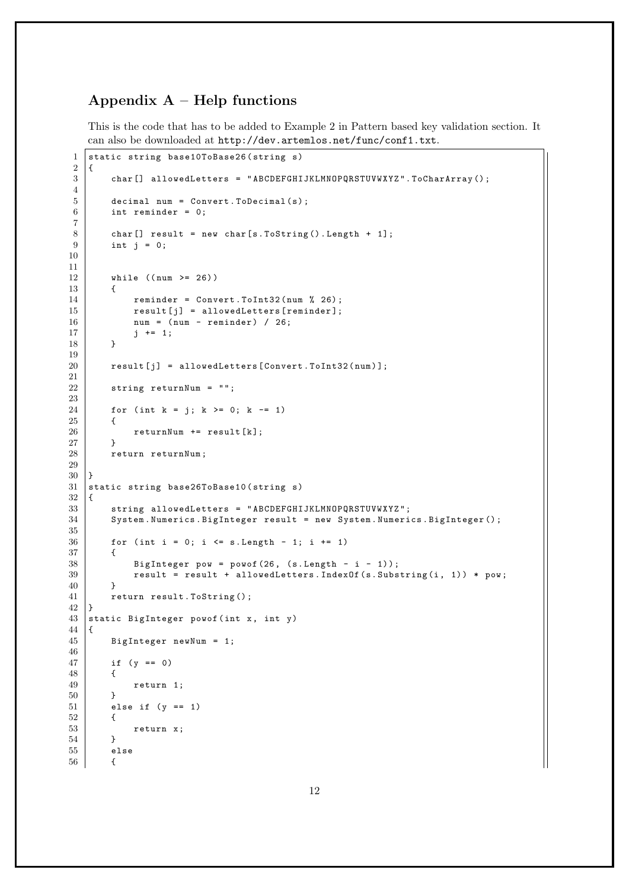# Appendix  $A$  – Help functions

This is the code that has to be added to Example 2 in Pattern based key validation section. It can also be downloaded at http://dev.artemlos.net/func/conf1.txt.

```
1 static string base10ToBase26 (string s)
2 {
        char [] allowedLetters = "ABCDEFGHIJKLMNOPQRSTUVWXYZ".ToCharArray ();
4
5 decimal num = Convert. ToDecimal (s);
6 int reminder = 0;
7
8 char [] result = new char [s. ToString (). Length + 1];
9 \mid \text{int } j = 0;10
11
12 while ((num >= 26))
13 {
14 \vert reminder = Convert. ToInt32 (num \% 26);
15 \vert result [j] = allowedLetters [reminder];
16 num = (num - reminder) / 26;<br>17 i += 1:
        j \neq 1;18 }
19
20 \vert result [j] = allowedLetters [Convert . ToInt32 (num)];
21
22 string returnNum = "";
\frac{23}{24}for (int k = j; k \ge 0; k = 1)
25 {
26 returnNum += result [k];
27 \mid \cdot \cdot \cdot \cdot \cdot28 return returnNum;
29
30 \mid }
31 static string base26ToBase10 (string s)
32 \mid \in33 string allowedLetters = "ABCDEFGHIJKLMNOPQRSTUVWXYZ";
34 System . Numerics . BigInteger result = new System . Numerics . BigInteger () ;
35
36 for (int i = 0; i <= s. Length - 1; i += 1)
\begin{array}{c|c}\n 37 & \text{f} \\
 38 & \text{f}\n\end{array}38 BigInteger pow = powof (26, (s. Length - i - 1));<br>39 result = result + allowedLetters. IndexOf(s. Subs
            result = result + allowedLeters. IndexOf(s.Substring(i, 1)) * pow;40 }
41 return result. ToString ();
42 \mid \}43 static BigInteger powof (int x, int y)
\begin{array}{c|c} 44 & \f{45} \end{array}BigInteger newNum = 1;
46
47 if (y == 0)
48 {
49 return 1;
50 }
51 else if (y == 1)52 {
53 return x;
54 }
55 else
56 {
```